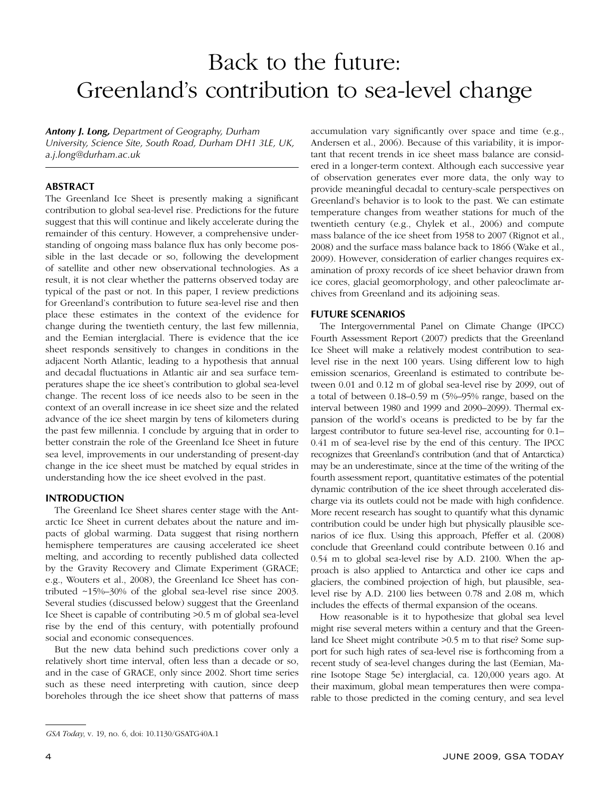# Back to the future: Greenland's contribution to sea-level change

*Antony J. Long, Department of Geography, Durham University, Science Site, South Road, Durham DH1 3LE, UK, a.j.long@durham.ac.uk*

#### **ABSTRACT**

The Greenland Ice Sheet is presently making a significant contribution to global sea-level rise. Predictions for the future suggest that this will continue and likely accelerate during the remainder of this century. However, a comprehensive understanding of ongoing mass balance flux has only become possible in the last decade or so, following the development of satellite and other new observational technologies. As a result, it is not clear whether the patterns observed today are typical of the past or not. In this paper, I review predictions for Greenland's contribution to future sea-level rise and then place these estimates in the context of the evidence for change during the twentieth century, the last few millennia, and the Eemian interglacial. There is evidence that the ice sheet responds sensitively to changes in conditions in the adjacent North Atlantic, leading to a hypothesis that annual and decadal fluctuations in Atlantic air and sea surface temperatures shape the ice sheet's contribution to global sea-level change. The recent loss of ice needs also to be seen in the context of an overall increase in ice sheet size and the related advance of the ice sheet margin by tens of kilometers during the past few millennia. I conclude by arguing that in order to better constrain the role of the Greenland Ice Sheet in future sea level, improvements in our understanding of present-day change in the ice sheet must be matched by equal strides in understanding how the ice sheet evolved in the past.

#### **INTRODUCTION**

The Greenland Ice Sheet shares center stage with the Antarctic Ice Sheet in current debates about the nature and impacts of global warming. Data suggest that rising northern hemisphere temperatures are causing accelerated ice sheet melting, and according to recently published data collected by the Gravity Recovery and Climate Experiment (GRACE; e.g., Wouters et al., 2008), the Greenland Ice Sheet has contributed ~15%–30% of the global sea-level rise since 2003. Several studies (discussed below) suggest that the Greenland Ice Sheet is capable of contributing >0.5 m of global sea-level rise by the end of this century, with potentially profound social and economic consequences.

But the new data behind such predictions cover only a relatively short time interval, often less than a decade or so, and in the case of GRACE, only since 2002. Short time series such as these need interpreting with caution, since deep boreholes through the ice sheet show that patterns of mass

accumulation vary significantly over space and time (e.g., Andersen et al., 2006). Because of this variability, it is important that recent trends in ice sheet mass balance are considered in a longer-term context. Although each successive year of observation generates ever more data, the only way to provide meaningful decadal to century-scale perspectives on Greenland's behavior is to look to the past. We can estimate temperature changes from weather stations for much of the twentieth century (e.g., Chylek et al., 2006) and compute mass balance of the ice sheet from 1958 to 2007 (Rignot et al., 2008) and the surface mass balance back to 1866 (Wake et al., 2009). However, consideration of earlier changes requires examination of proxy records of ice sheet behavior drawn from ice cores, glacial geomorphology, and other paleoclimate archives from Greenland and its adjoining seas.

#### **FUTURE SCENARIOS**

The Intergovernmental Panel on Climate Change (IPCC) Fourth Assessment Report (2007) predicts that the Greenland Ice Sheet will make a relatively modest contribution to sealevel rise in the next 100 years. Using different low to high emission scenarios, Greenland is estimated to contribute between 0.01 and 0.12 m of global sea-level rise by 2099, out of a total of between 0.18–0.59 m (5%–95% range, based on the interval between 1980 and 1999 and 2090–2099). Thermal expansion of the world's oceans is predicted to be by far the largest contributor to future sea-level rise, accounting for 0.1– 0.41 m of sea-level rise by the end of this century. The IPCC recognizes that Greenland's contribution (and that of Antarctica) may be an underestimate, since at the time of the writing of the fourth assessment report, quantitative estimates of the potential dynamic contribution of the ice sheet through accelerated discharge via its outlets could not be made with high confidence. More recent research has sought to quantify what this dynamic contribution could be under high but physically plausible scenarios of ice flux. Using this approach, Pfeffer et al. (2008) conclude that Greenland could contribute between 0.16 and 0.54 m to global sea-level rise by A.D. 2100. When the approach is also applied to Antarctica and other ice caps and glaciers, the combined projection of high, but plausible, sealevel rise by A.D. 2100 lies between 0.78 and 2.08 m, which includes the effects of thermal expansion of the oceans.

How reasonable is it to hypothesize that global sea level might rise several meters within a century and that the Greenland Ice Sheet might contribute >0.5 m to that rise? Some support for such high rates of sea-level rise is forthcoming from a recent study of sea-level changes during the last (Eemian, Marine Isotope Stage 5e) interglacial, ca. 120,000 years ago. At their maximum, global mean temperatures then were comparable to those predicted in the coming century, and sea level

*GSA Today*, v. 19, no. 6, doi: 10.1130/GSATG40A.1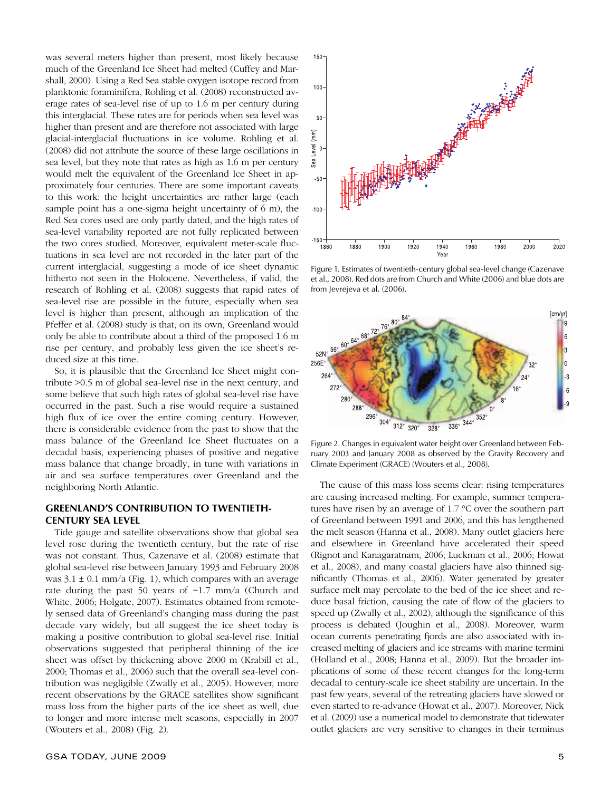was several meters higher than present, most likely because much of the Greenland Ice Sheet had melted (Cuffey and Marshall, 2000). Using a Red Sea stable oxygen isotope record from planktonic foraminifera, Rohling et al. (2008) reconstructed average rates of sea-level rise of up to 1.6 m per century during this interglacial. These rates are for periods when sea level was higher than present and are therefore not associated with large glacial-interglacial fluctuations in ice volume. Rohling et al. (2008) did not attribute the source of these large oscillations in sea level, but they note that rates as high as 1.6 m per century would melt the equivalent of the Greenland Ice Sheet in approximately four centuries. There are some important caveats to this work: the height uncertainties are rather large (each sample point has a one-sigma height uncertainty of 6 m), the Red Sea cores used are only partly dated, and the high rates of sea-level variability reported are not fully replicated between the two cores studied. Moreover, equivalent meter-scale fluctuations in sea level are not recorded in the later part of the current interglacial, suggesting a mode of ice sheet dynamic hitherto not seen in the Holocene. Nevertheless, if valid, the research of Rohling et al. (2008) suggests that rapid rates of sea-level rise are possible in the future, especially when sea level is higher than present, although an implication of the Pfeffer et al. (2008) study is that, on its own, Greenland would only be able to contribute about a third of the proposed 1.6 m rise per century, and probably less given the ice sheet's reduced size at this time.

So, it is plausible that the Greenland Ice Sheet might contribute >0.5 m of global sea-level rise in the next century, and some believe that such high rates of global sea-level rise have occurred in the past. Such a rise would require a sustained high flux of ice over the entire coming century. However, there is considerable evidence from the past to show that the mass balance of the Greenland Ice Sheet fluctuates on a decadal basis, experiencing phases of positive and negative mass balance that change broadly, in tune with variations in air and sea surface temperatures over Greenland and the neighboring North Atlantic.

#### **GREENLAND'S CONTRIBUTION TO TWENTIETH-CENTURY SEA LEVEL**

Tide gauge and satellite observations show that global sea level rose during the twentieth century, but the rate of rise was not constant. Thus, Cazenave et al. (2008) estimate that global sea-level rise between January 1993 and February 2008 was  $3.1 \pm 0.1$  mm/a (Fig. 1), which compares with an average rate during the past 50 years of  $\sim$ 1.7 mm/a (Church and White, 2006; Holgate, 2007). Estimates obtained from remotely sensed data of Greenland's changing mass during the past decade vary widely, but all suggest the ice sheet today is making a positive contribution to global sea-level rise. Initial observations suggested that peripheral thinning of the ice sheet was offset by thickening above 2000 m (Krabill et al., 2000; Thomas et al., 2006) such that the overall sea-level contribution was negligible (Zwally et al., 2005). However, more recent observations by the GRACE satellites show significant mass loss from the higher parts of the ice sheet as well, due to longer and more intense melt seasons, especially in 2007 (Wouters et al., 2008) (Fig. 2).



Figure 1. Estimates of twentieth-century global sea-level change (Cazenave et al., 2008). Red dots are from Church and White (2006) and blue dots are from Jevrejeva et al. (2006).



Figure 2. Changes in equivalent water height over Greenland between February 2003 and January 2008 as observed by the Gravity Recovery and Climate Experiment (GRACE) (Wouters et al., 2008).

The cause of this mass loss seems clear: rising temperatures are causing increased melting. For example, summer temperatures have risen by an average of 1.7 °C over the southern part of Greenland between 1991 and 2006, and this has lengthened the melt season (Hanna et al., 2008). Many outlet glaciers here and elsewhere in Greenland have accelerated their speed (Rignot and Kanagaratnam, 2006; Luckman et al., 2006; Howat et al., 2008), and many coastal glaciers have also thinned significantly (Thomas et al., 2006). Water generated by greater surface melt may percolate to the bed of the ice sheet and reduce basal friction, causing the rate of flow of the glaciers to speed up (Zwally et al., 2002), although the significance of this process is debated (Joughin et al., 2008). Moreover, warm ocean currents penetrating fjords are also associated with increased melting of glaciers and ice streams with marine termini (Holland et al., 2008; Hanna et al., 2009). But the broader implications of some of these recent changes for the long-term decadal to century-scale ice sheet stability are uncertain. In the past few years, several of the retreating glaciers have slowed or even started to re-advance (Howat et al., 2007). Moreover, Nick et al. (2009) use a numerical model to demonstrate that tidewater outlet glaciers are very sensitive to changes in their terminus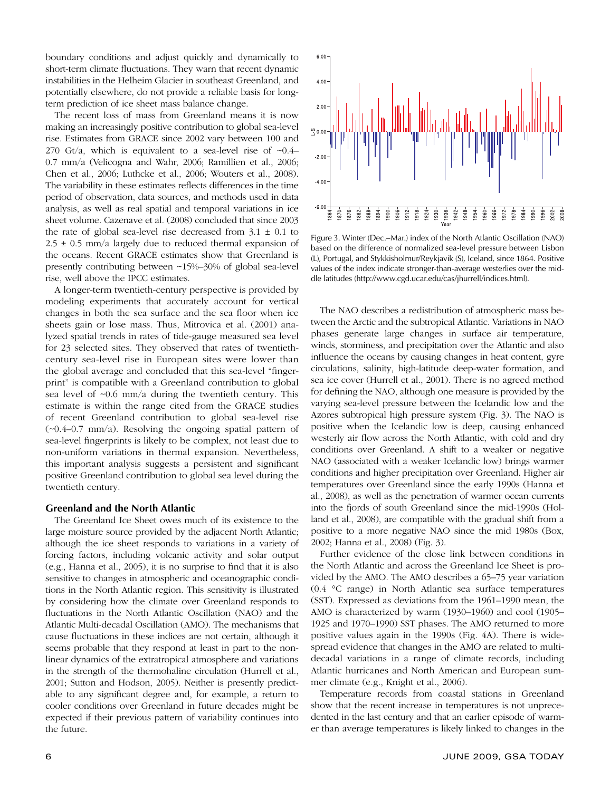boundary conditions and adjust quickly and dynamically to short-term climate fluctuations. They warn that recent dynamic instabilities in the Helheim Glacier in southeast Greenland, and potentially elsewhere, do not provide a reliable basis for longterm prediction of ice sheet mass balance change.

The recent loss of mass from Greenland means it is now making an increasingly positive contribution to global sea-level rise. Estimates from GRACE since 2002 vary between 100 and 270 Gt/a, which is equivalent to a sea-level rise of  $\sim 0.4-$ 0.7 mm/a (Velicogna and Wahr, 2006; Ramillien et al., 2006; Chen et al., 2006; Luthcke et al., 2006; Wouters et al., 2008). The variability in these estimates reflects differences in the time period of observation, data sources, and methods used in data analysis, as well as real spatial and temporal variations in ice sheet volume. Cazenave et al. (2008) concluded that since 2003 the rate of global sea-level rise decreased from  $3.1 \pm 0.1$  to  $2.5 \pm 0.5$  mm/a largely due to reduced thermal expansion of the oceans. Recent GRACE estimates show that Greenland is presently contributing between ~15%–30% of global sea-level rise, well above the IPCC estimates.

A longer-term twentieth-century perspective is provided by modeling experiments that accurately account for vertical changes in both the sea surface and the sea floor when ice sheets gain or lose mass. Thus, Mitrovica et al. (2001) analyzed spatial trends in rates of tide-gauge measured sea level for 23 selected sites. They observed that rates of twentiethcentury sea-level rise in European sites were lower than the global average and concluded that this sea-level "fingerprint" is compatible with a Greenland contribution to global sea level of ~0.6 mm/a during the twentieth century. This estimate is within the range cited from the GRACE studies of recent Greenland contribution to global sea-level rise  $(\sim 0.4 - 0.7$  mm/a). Resolving the ongoing spatial pattern of sea-level fingerprints is likely to be complex, not least due to non-uniform variations in thermal expansion. Nevertheless, this important analysis suggests a persistent and significant positive Greenland contribution to global sea level during the twentieth century.

#### **Greenland and the North Atlantic**

The Greenland Ice Sheet owes much of its existence to the large moisture source provided by the adjacent North Atlantic; although the ice sheet responds to variations in a variety of forcing factors, including volcanic activity and solar output  $(e.g., Hanna et al., 2005), it is no surprise to find that it is also.$ sensitive to changes in atmospheric and oceanographic conditions in the North Atlantic region. This sensitivity is illustrated by considering how the climate over Greenland responds to fluctuations in the North Atlantic Oscillation (NAO) and the Atlantic Multi-decadal Oscillation (AMO). The mechanisms that cause fluctuations in these indices are not certain, although it seems probable that they respond at least in part to the nonlinear dynamics of the extratropical atmosphere and variations in the strength of the thermohaline circulation (Hurrell et al., 2001; Sutton and Hodson, 2005). Neither is presently predictable to any significant degree and, for example, a return to cooler conditions over Greenland in future decades might be expected if their previous pattern of variability continues into the future.



Figure 3. Winter (Dec.–Mar.) index of the North Atlantic Oscillation (NAO) based on the difference of normalized sea-level pressure between Lisbon (L), Portugal, and Stykkisholmur/Reykjavik (S), Iceland, since 1864. Positive values of the index indicate stronger-than-average westerlies over the middle latitudes (http://www.cgd.ucar.edu/cas/jhurrell/indices.html).

The NAO describes a redistribution of atmospheric mass between the Arctic and the subtropical Atlantic. Variations in NAO phases generate large changes in surface air temperature, winds, storminess, and precipitation over the Atlantic and also influence the oceans by causing changes in heat content, gyre circulations, salinity, high-latitude deep-water formation, and sea ice cover (Hurrell et al., 2001). There is no agreed method for defining the NAO, although one measure is provided by the varying sea-level pressure between the Icelandic low and the Azores subtropical high pressure system (Fig. 3). The NAO is positive when the Icelandic low is deep, causing enhanced westerly air flow across the North Atlantic, with cold and dry conditions over Greenland. A shift to a weaker or negative NAO (associated with a weaker Icelandic low) brings warmer conditions and higher precipitation over Greenland. Higher air temperatures over Greenland since the early 1990s (Hanna et al., 2008), as well as the penetration of warmer ocean currents into the fjords of south Greenland since the mid-1990s (Holland et al., 2008), are compatible with the gradual shift from a positive to a more negative NAO since the mid 1980s (Box, 2002; Hanna et al., 2008) (Fig. 3).

Further evidence of the close link between conditions in the North Atlantic and across the Greenland Ice Sheet is provided by the AMO. The AMO describes a 65–75 year variation (0.4 °C range) in North Atlantic sea surface temperatures (SST). Expressed as deviations from the 1961–1990 mean, the AMO is characterized by warm (1930–1960) and cool (1905– 1925 and 1970–1990) SST phases. The AMO returned to more positive values again in the 1990s (Fig. 4A). There is widespread evidence that changes in the AMO are related to multidecadal variations in a range of climate records, including Atlantic hurricanes and North American and European summer climate (e.g., Knight et al., 2006).

Temperature records from coastal stations in Greenland show that the recent increase in temperatures is not unprecedented in the last century and that an earlier episode of warmer than average temperatures is likely linked to changes in the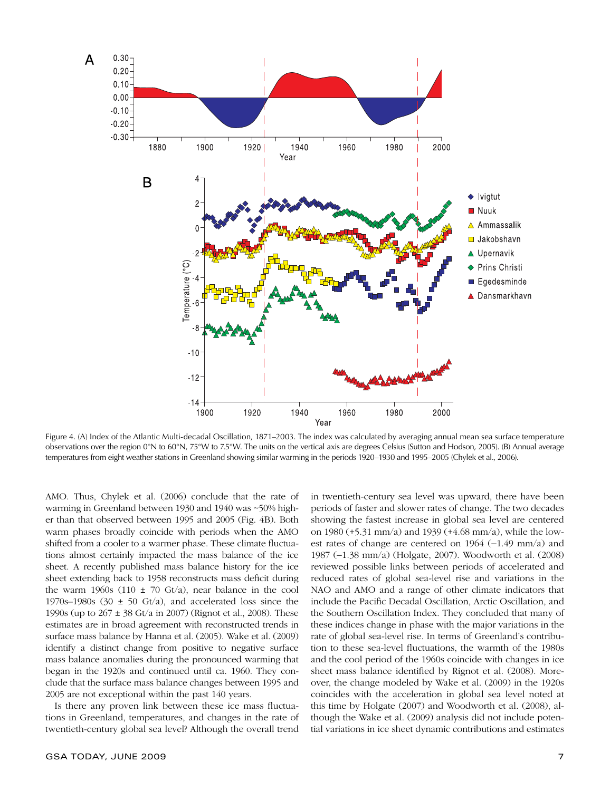

Figure 4. (A) Index of the Atlantic Multi-decadal Oscillation, 1871–2003. The index was calculated by averaging annual mean sea surface temperature observations over the region 0°N to 60°N, 75°W to 7.5°W. The units on the vertical axis are degrees Celsius (Sutton and Hodson, 2005). (B) Annual average temperatures from eight weather stations in Greenland showing similar warming in the periods 1920–1930 and 1995–2005 (Chylek et al., 2006).

AMO. Thus, Chylek et al. (2006) conclude that the rate of warming in Greenland between 1930 and 1940 was ~50% higher than that observed between 1995 and 2005 (Fig. 4B). Both warm phases broadly coincide with periods when the AMO shifted from a cooler to a warmer phase. These climate fluctuations almost certainly impacted the mass balance of the ice sheet. A recently published mass balance history for the ice sheet extending back to 1958 reconstructs mass deficit during the warm 1960s (110  $\pm$  70 Gt/a), near balance in the cool 1970s–1980s (30  $\pm$  50 Gt/a), and accelerated loss since the 1990s (up to 267 ± 38 Gt/a in 2007) (Rignot et al., 2008). These estimates are in broad agreement with reconstructed trends in surface mass balance by Hanna et al. (2005). Wake et al. (2009) identify a distinct change from positive to negative surface mass balance anomalies during the pronounced warming that began in the 1920s and continued until ca. 1960. They conclude that the surface mass balance changes between 1995 and 2005 are not exceptional within the past 140 years.

Is there any proven link between these ice mass fluctuations in Greenland, temperatures, and changes in the rate of twentieth-century global sea level? Although the overall trend

GSA TODAY, JUNE 2009 **7** 2009 **7** 

in twentieth-century sea level was upward, there have been periods of faster and slower rates of change. The two decades showing the fastest increase in global sea level are centered on 1980 (+5.31 mm/a) and 1939 (+4.68 mm/a), while the lowest rates of change are centered on 1964 (−1.49 mm/a) and 1987 (−1.38 mm/a) (Holgate, 2007). Woodworth et al. (2008) reviewed possible links between periods of accelerated and reduced rates of global sea-level rise and variations in the NAO and AMO and a range of other climate indicators that include the Pacific Decadal Oscillation, Arctic Oscillation, and the Southern Oscillation Index. They concluded that many of these indices change in phase with the major variations in the rate of global sea-level rise. In terms of Greenland's contribution to these sea-level fluctuations, the warmth of the 1980s and the cool period of the 1960s coincide with changes in ice sheet mass balance identified by Rignot et al. (2008). Moreover, the change modeled by Wake et al. (2009) in the 1920s coincides with the acceleration in global sea level noted at this time by Holgate (2007) and Woodworth et al. (2008), although the Wake et al. (2009) analysis did not include potential variations in ice sheet dynamic contributions and estimates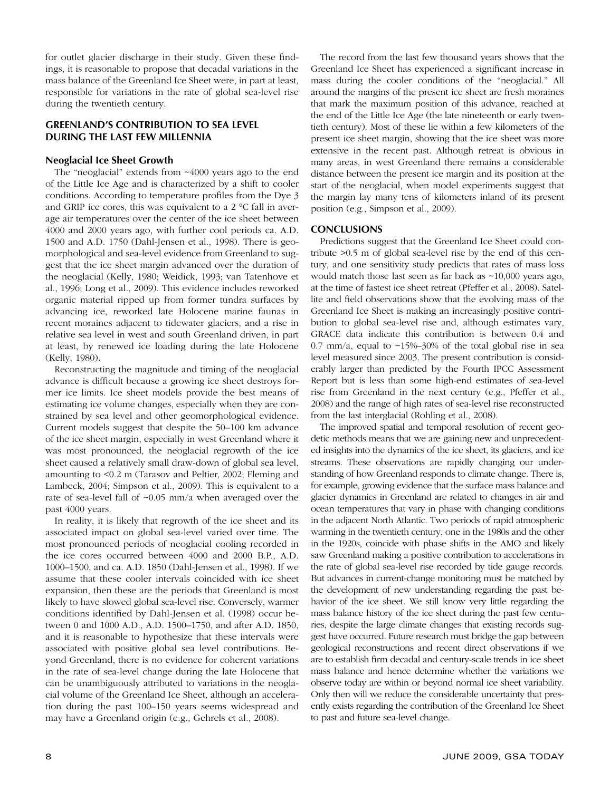for outlet glacier discharge in their study. Given these findings, it is reasonable to propose that decadal variations in the mass balance of the Greenland Ice Sheet were, in part at least, responsible for variations in the rate of global sea-level rise during the twentieth century.

#### **GREENLAND'S CONTRIBUTION TO SEA LEVEL DURING THE LAST FEW MILLENNIA**

#### **Neoglacial Ice Sheet Growth**

The "neoglacial" extends from ~4000 years ago to the end of the Little Ice Age and is characterized by a shift to cooler conditions. According to temperature profiles from the Dye 3 and GRIP ice cores, this was equivalent to a 2 °C fall in average air temperatures over the center of the ice sheet between 4000 and 2000 years ago, with further cool periods ca. A.D. 1500 and A.D. 1750 (Dahl-Jensen et al., 1998). There is geomorphological and sea-level evidence from Greenland to suggest that the ice sheet margin advanced over the duration of the neoglacial (Kelly, 1980; Weidick, 1993; van Tatenhove et al., 1996; Long et al., 2009). This evidence includes reworked organic material ripped up from former tundra surfaces by advancing ice, reworked late Holocene marine faunas in recent moraines adjacent to tidewater glaciers, and a rise in relative sea level in west and south Greenland driven, in part at least, by renewed ice loading during the late Holocene (Kelly, 1980).

Reconstructing the magnitude and timing of the neoglacial advance is difficult because a growing ice sheet destroys former ice limits. Ice sheet models provide the best means of estimating ice volume changes, especially when they are constrained by sea level and other geomorphological evidence. Current models suggest that despite the 50–100 km advance of the ice sheet margin, especially in west Greenland where it was most pronounced, the neoglacial regrowth of the ice sheet caused a relatively small draw-down of global sea level, amounting to <0.2 m (Tarasov and Peltier, 2002; Fleming and Lambeck, 2004; Simpson et al., 2009). This is equivalent to a rate of sea-level fall of ~0.05 mm/a when averaged over the past 4000 years.

In reality, it is likely that regrowth of the ice sheet and its associated impact on global sea-level varied over time. The most pronounced periods of neoglacial cooling recorded in the ice cores occurred between 4000 and 2000 B.P., A.D. 1000–1500, and ca. A.D. 1850 (Dahl-Jensen et al., 1998). If we assume that these cooler intervals coincided with ice sheet expansion, then these are the periods that Greenland is most likely to have slowed global sea-level rise. Conversely, warmer conditions identified by Dahl-Jensen et al. (1998) occur between 0 and 1000 A.D., A.D. 1500–1750, and after A.D. 1850, and it is reasonable to hypothesize that these intervals were associated with positive global sea level contributions. Beyond Greenland, there is no evidence for coherent variations in the rate of sea-level change during the late Holocene that can be unambiguously attributed to variations in the neoglacial volume of the Greenland Ice Sheet, although an acceleration during the past 100–150 years seems widespread and may have a Greenland origin (e.g., Gehrels et al., 2008).

The record from the last few thousand years shows that the Greenland Ice Sheet has experienced a significant increase in mass during the cooler conditions of the "neoglacial." All around the margins of the present ice sheet are fresh moraines that mark the maximum position of this advance, reached at the end of the Little Ice Age (the late nineteenth or early twentieth century). Most of these lie within a few kilometers of the present ice sheet margin, showing that the ice sheet was more extensive in the recent past. Although retreat is obvious in many areas, in west Greenland there remains a considerable distance between the present ice margin and its position at the start of the neoglacial, when model experiments suggest that the margin lay many tens of kilometers inland of its present position (e.g., Simpson et al., 2009).

#### **CONCLUSIONS**

Predictions suggest that the Greenland Ice Sheet could contribute >0.5 m of global sea-level rise by the end of this century, and one sensitivity study predicts that rates of mass loss would match those last seen as far back as ~10,000 years ago, at the time of fastest ice sheet retreat (Pfeffer et al., 2008). Satellite and field observations show that the evolving mass of the Greenland Ice Sheet is making an increasingly positive contribution to global sea-level rise and, although estimates vary, GRACE data indicate this contribution is between 0.4 and 0.7 mm/a, equal to  $\sim$ 15%–30% of the total global rise in sea level measured since 2003. The present contribution is considerably larger than predicted by the Fourth IPCC Assessment Report but is less than some high-end estimates of sea-level rise from Greenland in the next century (e.g., Pfeffer et al., 2008) and the range of high rates of sea-level rise reconstructed from the last interglacial (Rohling et al., 2008).

The improved spatial and temporal resolution of recent geodetic methods means that we are gaining new and unprecedented insights into the dynamics of the ice sheet, its glaciers, and ice streams. These observations are rapidly changing our understanding of how Greenland responds to climate change. There is, for example, growing evidence that the surface mass balance and glacier dynamics in Greenland are related to changes in air and ocean temperatures that vary in phase with changing conditions in the adjacent North Atlantic. Two periods of rapid atmospheric warming in the twentieth century, one in the 1980s and the other in the 1920s, coincide with phase shifts in the AMO and likely saw Greenland making a positive contribution to accelerations in the rate of global sea-level rise recorded by tide gauge records. But advances in current-change monitoring must be matched by the development of new understanding regarding the past behavior of the ice sheet. We still know very little regarding the mass balance history of the ice sheet during the past few centuries, despite the large climate changes that existing records suggest have occurred. Future research must bridge the gap between geological reconstructions and recent direct observations if we are to establish firm decadal and century-scale trends in ice sheet mass balance and hence determine whether the variations we observe today are within or beyond normal ice sheet variability. Only then will we reduce the considerable uncertainty that presently exists regarding the contribution of the Greenland Ice Sheet to past and future sea-level change.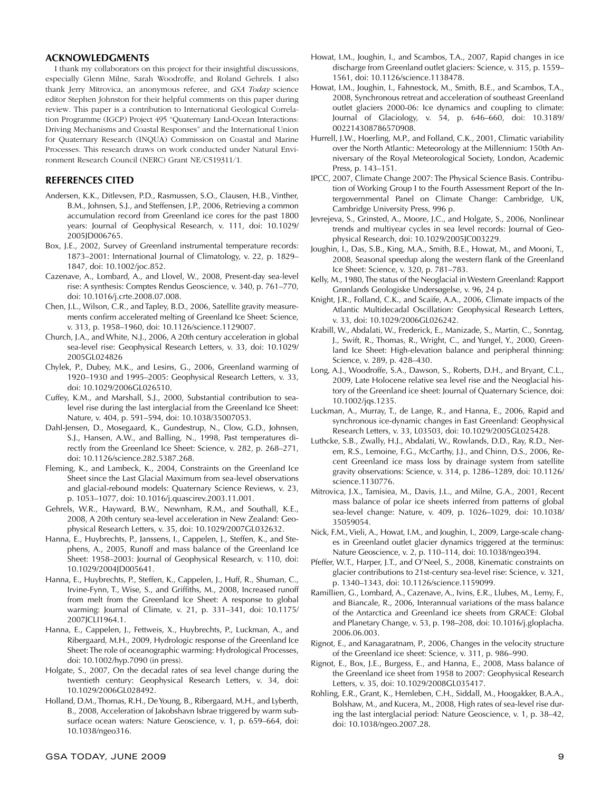#### **ACKNOWLEDGMENTS**

I thank my collaborators on this project for their insightful discussions, especially Glenn Milne, Sarah Woodroffe, and Roland Gehrels. I also thank Jerry Mitrovica, an anonymous referee, and *GSA Today* science editor Stephen Johnston for their helpful comments on this paper during review. This paper is a contribution to International Geological Correlation Programme (IGCP) Project 495 "Quaternary Land-Ocean Interactions: Driving Mechanisms and Coastal Responses" and the International Union for Quaternary Research (INQUA) Commission on Coastal and Marine Processes. This research draws on work conducted under Natural Environment Research Council (NERC) Grant NE/C519311/1.

#### **REFERENCES CITED**

- Andersen, K.K., Ditlevsen, P.D., Rasmussen, S.O., Clausen, H.B., Vinther, B.M., Johnsen, S.J., and Steffensen, J.P., 2006, Retrieving a common accumulation record from Greenland ice cores for the past 1800 years: Journal of Geophysical Research, v. 111, doi: 10.1029/ 2005JD006765.
- Box, J.E., 2002, Survey of Greenland instrumental temperature records: 1873–2001: International Journal of Climatology, v. 22, p. 1829– 1847, doi: 10.1002/joc.852.
- Cazenave, A., Lombard, A., and Llovel, W., 2008, Present-day sea-level rise: A synthesis: Comptes Rendus Geoscience, v. 340, p. 761–770, doi: 10.1016/j.crte.2008.07.008.
- Chen, J.L., Wilson, C.R., and Tapley, B.D., 2006, Satellite gravity measurements confirm accelerated melting of Greenland Ice Sheet: Science, v. 313, p. 1958–1960, doi: 10.1126/science.1129007.
- Church, J.A., and White, N.J., 2006, A 20th century acceleration in global sea-level rise: Geophysical Research Letters, v. 33, doi: 10.1029/ 2005GL024826
- Chylek, P., Dubey, M.K., and Lesins, G., 2006, Greenland warming of 1920–1930 and 1995–2005: Geophysical Research Letters, v. 33, doi: 10.1029/2006GL026510.
- Cuffey, K.M., and Marshall, S.J., 2000, Substantial contribution to sealevel rise during the last interglacial from the Greenland Ice Sheet: Nature, v. 404, p. 591–594, doi: 10.1038/35007053.
- Dahl-Jensen, D., Mosegaard, K., Gundestrup, N., Clow, G.D., Johnsen, S.J., Hansen, A.W., and Balling, N., 1998, Past temperatures directly from the Greenland Ice Sheet: Science, v. 282, p. 268–271, doi: 10.1126/science.282.5387.268.
- Fleming, K., and Lambeck, K., 2004, Constraints on the Greenland Ice Sheet since the Last Glacial Maximum from sea-level observations and glacial-rebound models: Quaternary Science Reviews, v. 23, p. 1053–1077, doi: 10.1016/j.quascirev.2003.11.001.
- Gehrels, W.R., Hayward, B.W., Newnham, R.M., and Southall, K.E., 2008, A 20th century sea-level acceleration in New Zealand: Geophysical Research Letters, v. 35, doi: 10.1029/2007GL032632.
- Hanna, E., Huybrechts, P., Janssens, I., Cappelen, J., Steffen, K., and Stephens, A., 2005, Runoff and mass balance of the Greenland Ice Sheet: 1958–2003: Journal of Geophysical Research, v. 110, doi: 10.1029/2004JD005641.
- Hanna, E., Huybrechts, P., Steffen, K., Cappelen, J., Huff, R., Shuman, C., Irvine-Fynn, T., Wise, S., and Griffiths, M., 2008, Increased runoff from melt from the Greenland Ice Sheet: A response to global warming: Journal of Climate, v. 21, p. 331–341, doi: 10.1175/ 2007JCLI1964.1.
- Hanna, E., Cappelen, J., Fettweis, X., Huybrechts, P., Luckman, A., and Ribergaard, M.H., 2009, Hydrologic response of the Greenland Ice Sheet: The role of oceanographic warming: Hydrological Processes, doi: 10.1002/hyp.7090 (in press).
- Holgate, S., 2007, On the decadal rates of sea level change during the twentieth century: Geophysical Research Letters, v. 34, doi: 10.1029/2006GL028492.
- Holland, D.M., Thomas, R.H., De Young, B., Ribergaard, M.H., and Lyberth, B., 2008, Acceleration of Jakobshavn Isbrae triggered by warm subsurface ocean waters: Nature Geoscience, v. 1, p. 659–664, doi: 10.1038/ngeo316.
- Howat, I.M., Joughin, I., and Scambos, T.A., 2007, Rapid changes in ice discharge from Greenland outlet glaciers: Science, v. 315, p. 1559– 1561, doi: 10.1126/science.1138478.
- Howat, I.M., Joughin, I., Fahnestock, M., Smith, B.E., and Scambos, T.A., 2008, Synchronous retreat and acceleration of southeast Greenland outlet glaciers 2000-06: Ice dynamics and coupling to climate: Journal of Glaciology, v. 54, p. 646–660, doi: 10.3189/ 002214308786570908.
- Hurrell, J.W., Hoerling, M.P., and Folland, C.K., 2001, Climatic variability over the North Atlantic: Meteorology at the Millennium: 150th Anniversary of the Royal Meteorological Society, London, Academic Press, p. 143–151.
- IPCC, 2007, Climate Change 2007: The Physical Science Basis. Contribution of Working Group I to the Fourth Assessment Report of the Intergovernmental Panel on Climate Change: Cambridge, UK, Cambridge University Press, 996 p.
- Jevrejeva, S., Grinsted, A., Moore, J.C., and Holgate, S., 2006, Nonlinear trends and multiyear cycles in sea level records: Journal of Geophysical Research, doi: 10.1029/2005JC003229.
- Joughin, I., Das, S.B., King, M.A., Smith, B.E., Howat, M., and Mooni, T., 2008, Seasonal speedup along the western flank of the Greenland Ice Sheet: Science, v. 320, p. 781–783.
- Kelly, M., 1980, The status of the Neoglacial in Western Greenland: Rapport Grønlands Geologiske Undersøgelse, v. 96, 24 p.
- Knight, J.R., Folland, C.K., and Scaife, A.A., 2006, Climate impacts of the Atlantic Multidecadal Oscillation: Geophysical Research Letters, v. 33, doi: 10.1029/2006GL026242.
- Krabill, W., Abdalati, W., Frederick, E., Manizade, S., Martin, C., Sonntag, J., Swift, R., Thomas, R., Wright, C., and Yungel, Y., 2000, Greenland Ice Sheet: High-elevation balance and peripheral thinning: Science, v. 289, p. 428–430.
- Long, A.J., Woodroffe, S.A., Dawson, S., Roberts, D.H., and Bryant, C.L., 2009, Late Holocene relative sea level rise and the Neoglacial history of the Greenland ice sheet: Journal of Quaternary Science, doi: 10.1002/jqs.1235.
- Luckman, A., Murray, T., de Lange, R., and Hanna, E., 2006, Rapid and synchronous ice-dynamic changes in East Greenland: Geophysical Research Letters, v. 33, L03503, doi: 10.1029/2005GL025428.
- Luthcke, S.B., Zwally, H.J., Abdalati, W., Rowlands, D.D., Ray, R.D., Nerem, R.S., Lemoine, F.G., McCarthy, J.J., and Chinn, D.S., 2006, Recent Greenland ice mass loss by drainage system from satellite gravity observations: Science, v. 314, p. 1286–1289, doi: 10.1126/ science.1130776.
- Mitrovica, J.X., Tamisiea, M., Davis, J.L., and Milne, G.A., 2001, Recent mass balance of polar ice sheets inferred from patterns of global sea-level change: Nature, v. 409, p. 1026–1029, doi: 10.1038/ 35059054.
- Nick, F.M., Vieli, A., Howat, I.M., and Joughin, I., 2009, Large-scale changes in Greenland outlet glacier dynamics triggered at the terminus: Nature Geoscience, v. 2, p. 110–114, doi: 10.1038/ngeo394.
- Pfeffer, W.T., Harper, J.T., and O'Neel, S., 2008, Kinematic constraints on glacier contributions to 21st-century sea-level rise: Science, v. 321, p. 1340–1343, doi: 10.1126/science.1159099.
- Ramillien, G., Lombard, A., Cazenave, A., Ivins, E.R., Llubes, M., Lemy, F., and Biancale, R., 2006, Interannual variations of the mass balance of the Antarctica and Greenland ice sheets from GRACE: Global and Planetary Change, v. 53, p. 198–208, doi: 10.1016/j.gloplacha. 2006.06.003.
- Rignot, E., and Kanagaratnam, P., 2006, Changes in the velocity structure of the Greenland ice sheet: Science, v. 311, p. 986–990.
- Rignot, E., Box, J.E., Burgess, E., and Hanna, E., 2008, Mass balance of the Greenland ice sheet from 1958 to 2007: Geophysical Research Letters, v. 35, doi: 10.1029/2008GL035417.
- Rohling, E.R., Grant, K., Hemleben, C.H., Siddall, M., Hoogakker, B.A.A., Bolshaw, M., and Kucera, M., 2008, High rates of sea-level rise during the last interglacial period: Nature Geoscience, v. 1, p. 38–42, doi: 10.1038/ngeo.2007.28.